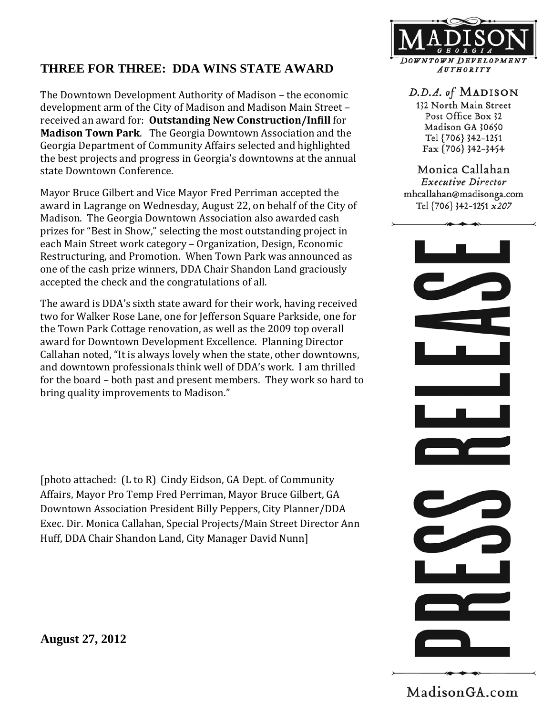

## **THREE FOR THREE: DDA WINS STATE AWARD**

The Downtown Development Authority of Madison – the economic development arm of the City of Madison and Madison Main Street – received an award for: **Outstanding New Construction/Infill** for **Madison Town Park**. The Georgia Downtown Association and the Georgia Department of Community Affairs selected and highlighted the best projects and progress in Georgia's downtowns at the annual state Downtown Conference.

Mayor Bruce Gilbert and Vice Mayor Fred Perriman accepted the award in Lagrange on Wednesday, August 22, on behalf of the City of Madison. The Georgia Downtown Association also awarded cash prizes for "Best in Show," selecting the most outstanding project in each Main Street work category – Organization, Design, Economic Restructuring, and Promotion. When Town Park was announced as one of the cash prize winners, DDA Chair Shandon Land graciously accepted the check and the congratulations of all.

The award is DDA's sixth state award for their work, having received two for Walker Rose Lane, one for Jefferson Square Parkside, one for the Town Park Cottage renovation, as well as the 2009 top overall award for Downtown Development Excellence. Planning Director Callahan noted, "It is always lovely when the state, other downtowns, and downtown professionals think well of DDA's work. I am thrilled for the board – both past and present members. They work so hard to bring quality improvements to Madison."

[photo attached: (L to R) Cindy Eidson, GA Dept. of Community Affairs, Mayor Pro Temp Fred Perriman, Mayor Bruce Gilbert, GA Downtown Association President Billy Peppers, City Planner/DDA Exec. Dir. Monica Callahan, Special Projects/Main Street Director Ann Huff, DDA Chair Shandon Land, City Manager David Nunn]

**August 27, 2012** 

D.D.A. of MADISON

132 North Main Street Post Office Box 32 Madison GA 30650 Tel {706} 342-1251 Fax {706} 342-3454

Monica Callahan **Executive Director** mhcallahan@madisonga.com Tel {706} 342-1251 x207



Madison GA.com